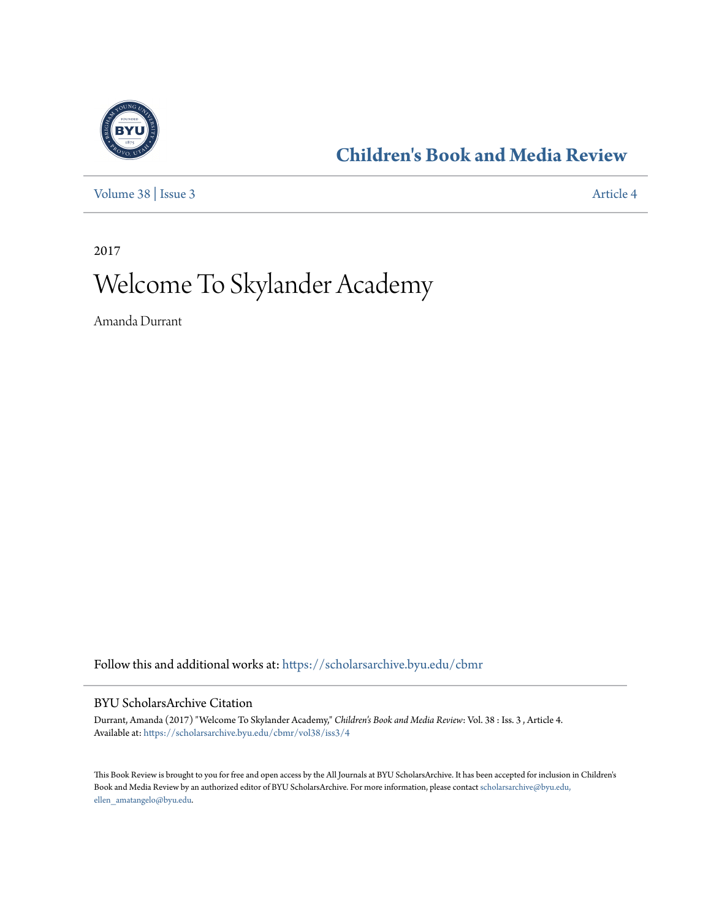

## **[Children's Book and Media Review](https://scholarsarchive.byu.edu/cbmr?utm_source=scholarsarchive.byu.edu%2Fcbmr%2Fvol38%2Fiss3%2F4&utm_medium=PDF&utm_campaign=PDFCoverPages)**

[Volume 38](https://scholarsarchive.byu.edu/cbmr/vol38?utm_source=scholarsarchive.byu.edu%2Fcbmr%2Fvol38%2Fiss3%2F4&utm_medium=PDF&utm_campaign=PDFCoverPages) | [Issue 3](https://scholarsarchive.byu.edu/cbmr/vol38/iss3?utm_source=scholarsarchive.byu.edu%2Fcbmr%2Fvol38%2Fiss3%2F4&utm_medium=PDF&utm_campaign=PDFCoverPages) [Article 4](https://scholarsarchive.byu.edu/cbmr/vol38/iss3/4?utm_source=scholarsarchive.byu.edu%2Fcbmr%2Fvol38%2Fiss3%2F4&utm_medium=PDF&utm_campaign=PDFCoverPages)

2017

## Welcome To Skylander Academy

Amanda Durrant

Follow this and additional works at: [https://scholarsarchive.byu.edu/cbmr](https://scholarsarchive.byu.edu/cbmr?utm_source=scholarsarchive.byu.edu%2Fcbmr%2Fvol38%2Fiss3%2F4&utm_medium=PDF&utm_campaign=PDFCoverPages)

## BYU ScholarsArchive Citation

Durrant, Amanda (2017) "Welcome To Skylander Academy," *Children's Book and Media Review*: Vol. 38 : Iss. 3 , Article 4. Available at: [https://scholarsarchive.byu.edu/cbmr/vol38/iss3/4](https://scholarsarchive.byu.edu/cbmr/vol38/iss3/4?utm_source=scholarsarchive.byu.edu%2Fcbmr%2Fvol38%2Fiss3%2F4&utm_medium=PDF&utm_campaign=PDFCoverPages)

This Book Review is brought to you for free and open access by the All Journals at BYU ScholarsArchive. It has been accepted for inclusion in Children's Book and Media Review by an authorized editor of BYU ScholarsArchive. For more information, please contact [scholarsarchive@byu.edu,](mailto:scholarsarchive@byu.edu,%20ellen_amatangelo@byu.edu) [ellen\\_amatangelo@byu.edu.](mailto:scholarsarchive@byu.edu,%20ellen_amatangelo@byu.edu)